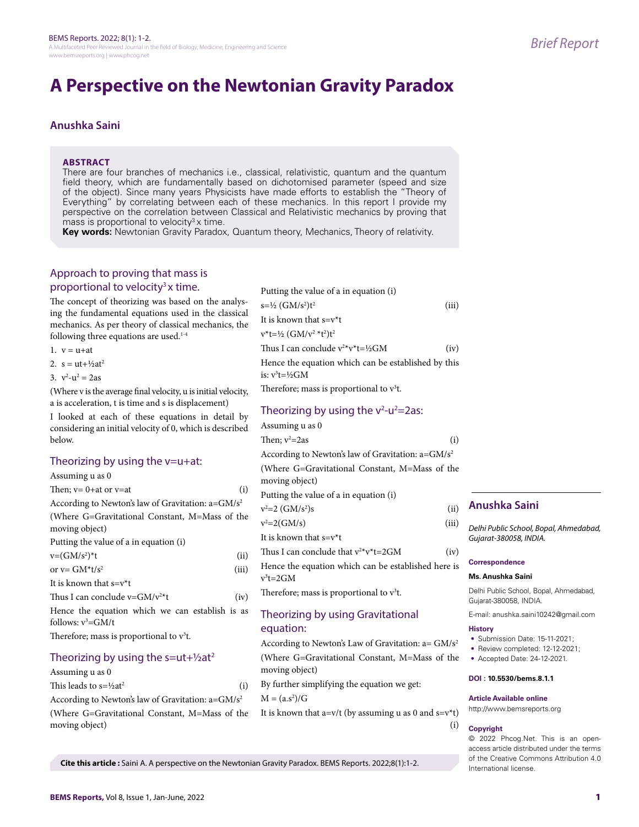# **A Perspective on the Newtonian Gravity Paradox**

### **Anushka Saini**

### **ABSTRACT**

1.  $v = u+at$ 

There are four branches of mechanics i.e., classical, relativistic, quantum and the quantum field theory, which are fundamentally based on dichotomised parameter (speed and size of the object). Since many years Physicists have made efforts to establish the "Theory of Everything" by correlating between each of these mechanics. In this report I provide my perspective on the correlation between Classical and Relativistic mechanics by proving that mass is proportional to velocity<sup>3</sup> x time.

**Key words:** Newtonian Gravity Paradox, Quantum theory, Mechanics, Theory of relativity.

### Approach to proving that mass is proportional to velocity<sup>3</sup> x time.

The concept of theorizing was based on the analysing the fundamental equations used in the classical mechanics. As per theory of classical mechanics, the following three equations are used.<sup>1-4</sup>

| 2. $s = ut + \frac{1}{2}at^2$                                  | Hence       |
|----------------------------------------------------------------|-------------|
| 3. $v^2 - u^2 = 2as$                                           | is: $v^3t$  |
| (Where v is the average final velocity, u is initial velocity, | There       |
| a is acceleration, t is time and s is displacement)            | <b>Thec</b> |
| I looked at each of these equations in detail by               |             |
| considering an initial velocity of 0, which is described       | Assur       |
| below.                                                         | Then;       |
|                                                                | Accor       |
| Theorizing by using the $v=u+at$ :                             | (Whe        |
| Assuming u as 0                                                | movir       |
| (i)<br>Then; $v=0+at$ or $v=at$                                | Puttir      |
| According to Newton's law of Gravitation: $a = GM/s^2$         | $v^2 = 2($  |
| (Where G=Gravitational Constant, M=Mass of the                 |             |
| moving object)                                                 | $v^2 = 2($  |
| Putting the value of a in equation (i)                         | It is k     |
| (ii)<br>$v = (GM/s^2)^*t$                                      | Thus .      |
| (iii)<br>or $v = GM^*t/s^2$                                    | Hence       |

| .                                    | $\cdots$ |
|--------------------------------------|----------|
| It is known that $s = v^*t$          |          |
| Thus I can conclude $v = GM/v^{2*}t$ | (iv)     |
|                                      |          |

Hence the equation which we can establish is as follows:  $v^3 = GM/t$ 

Therefore; mass is proportional to  $v^3t$ .

### Theorizing by using the  $s=ut+\frac{1}{2}at^2$

### Assuming u as 0

This leads to  $s = \frac{1}{2}at^2$  (i)

According to Newton's law of Gravitation:  $a = GM/s^2$ (Where G=Gravitational Constant, M=Mass of the moving object)

Putting the value of a in equation (i)  $s=$ <sup>1</sup>/<sub>2</sub> (GM/ $s^2$ )t<sup>2</sup>  $)t^2$  (iii) It is known that s=v\*t  $v^*$ t=½ (GM/ $v^2$  \*t<sup>2</sup>)t<sup>2</sup> Thus I can conclude  $v^{2*}v^{*}t = \frac{1}{2}GM$  (iv) e the equation which can be established by this  $=\frac{1}{2}GM$ 

Therefore; mass is proportional to  $v^3t$ .

### Theorizing by using the  $v^2$ -u<sup>2</sup>=2as:

### ning u as 0  $v^2$ =2as  $=2as$  (i) ding to Newton's law of Gravitation:  $a = GM/s^2$ ere G=Gravitational Constant, M=Mass of the ng object) ng the value of a in equation (i)  $(GM/s^2)s$  $\int$ s (ii)  $GM/s)$  (iii) nown that  $s=v*t$ Thus I can conclude that  $v^{2*}v^{*}t = 2GM$  (iv) e the equation which can be established here is  $v^3$ t=2 $GM$ Therefore; mass is proportional to  $v^3t$ . Theorizing by using Gravitational equation:

## According to Newton's Law of Gravitation:  $a = GM/s^2$ (Where G=Gravitational Constant, M=Mass of the moving object)

By further simplifying the equation we get:  $M = (a.s<sup>2</sup>)/G$ 

It is known that  $a=v/t$  (by assuming u as 0 and  $s=v*t$ )

#### **Article Available online**  http://www.bemsreports.org

#### **Copyright** (i)

© 2022 Phcog.Net. This is an openaccess article distributed under the terms of the Creative Commons Attribution 4.0

**Cite this article :** Saini A. A perspective on the Newtonian Gravity Paradox. BEMS Reports. 2022;8(1):1-2.<br>International license.

- **Anushka Saini**
- *Delhi Public School, Bopal, Ahmedabad, Gujarat-380058, INDIA.*

### **Correspondence**

#### **Ms. Anushka Saini**

Delhi Public School, Bopal, Ahmedabad, Gujarat-380058, INDIA.

E-mail: anushka.saini10242@gmail.com

### **History**

- Submission Date: 15-11-2021;
- Review completed: 12-12-2021;
- Accepted Date: 24-12-2021.

**DOI : 10.5530/bems.8.1.1**